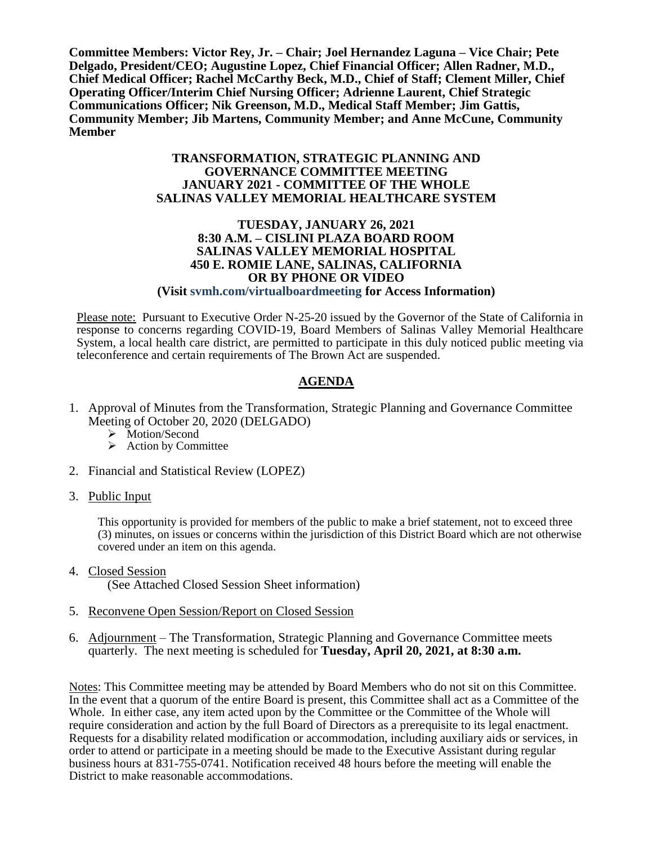**Committee Members: Victor Rey, Jr. – Chair; Joel Hernandez Laguna – Vice Chair; Pete Delgado, President/CEO; Augustine Lopez, Chief Financial Officer; Allen Radner, M.D., Chief Medical Officer; Rachel McCarthy Beck, M.D., Chief of Staff; Clement Miller, Chief Operating Officer/Interim Chief Nursing Officer; Adrienne Laurent, Chief Strategic Communications Officer; Nik Greenson, M.D., Medical Staff Member; Jim Gattis, Community Member; Jib Martens, Community Member; and Anne McCune, Community Member**

#### **TRANSFORMATION, STRATEGIC PLANNING AND GOVERNANCE COMMITTEE MEETING JANUARY 2021 - COMMITTEE OF THE WHOLE SALINAS VALLEY MEMORIAL HEALTHCARE SYSTEM**

#### **TUESDAY, JANUARY 26, 2021 8:30 A.M. – CISLINI PLAZA BOARD ROOM SALINAS VALLEY MEMORIAL HOSPITAL 450 E. ROMIE LANE, SALINAS, CALIFORNIA OR BY PHONE OR VIDEO**

# **(Visit svmh.com/virtualboardmeeting for Access Information)**

Please note: Pursuant to Executive Order N-25-20 issued by the Governor of the State of California in response to concerns regarding COVID-19, Board Members of Salinas Valley Memorial Healthcare System, a local health care district, are permitted to participate in this duly noticed public meeting via teleconference and certain requirements of The Brown Act are suspended.

# **AGENDA**

- 1. Approval of Minutes from the Transformation, Strategic Planning and Governance Committee Meeting of October 20, 2020 (DELGADO)
	- > Motion/Second
	- $\triangleright$  Action by Committee
- 2. Financial and Statistical Review (LOPEZ)
- 3. Public Input

This opportunity is provided for members of the public to make a brief statement, not to exceed three (3) minutes, on issues or concerns within the jurisdiction of this District Board which are not otherwise covered under an item on this agenda.

- 4. Closed Session (See Attached Closed Session Sheet information)
- 5. Reconvene Open Session/Report on Closed Session
- 6. Adjournment The Transformation, Strategic Planning and Governance Committee meets quarterly. The next meeting is scheduled for **Tuesday, April 20, 2021, at 8:30 a.m.**

Notes: This Committee meeting may be attended by Board Members who do not sit on this Committee. In the event that a quorum of the entire Board is present, this Committee shall act as a Committee of the Whole. In either case, any item acted upon by the Committee or the Committee of the Whole will require consideration and action by the full Board of Directors as a prerequisite to its legal enactment. Requests for a disability related modification or accommodation, including auxiliary aids or services, in order to attend or participate in a meeting should be made to the Executive Assistant during regular business hours at 831-755-0741. Notification received 48 hours before the meeting will enable the District to make reasonable accommodations.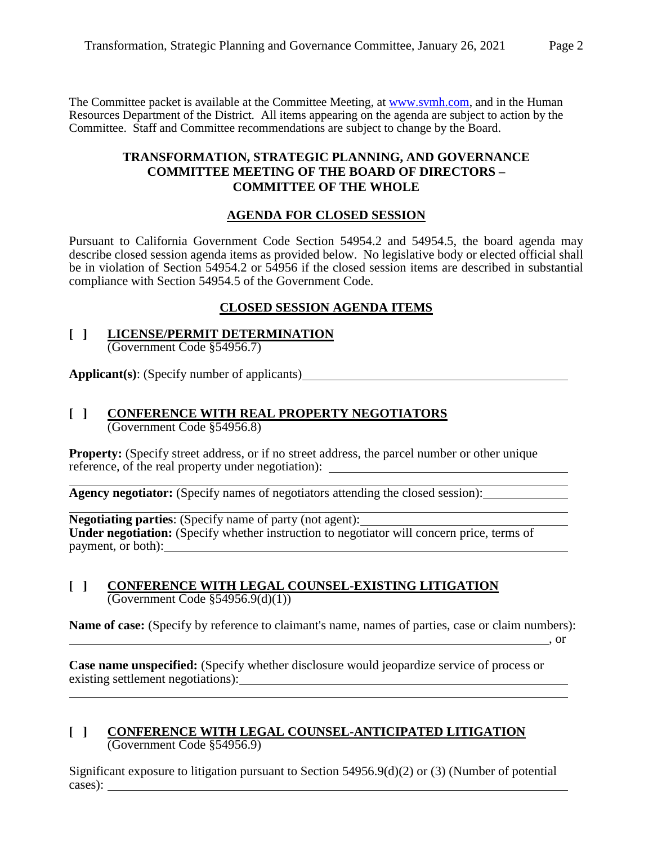The Committee packet is available at the Committee Meeting, at [www.svmh.com,](http://www.svmh.com/) and in the Human Resources Department of the District. All items appearing on the agenda are subject to action by the Committee. Staff and Committee recommendations are subject to change by the Board.

#### **TRANSFORMATION, STRATEGIC PLANNING, AND GOVERNANCE COMMITTEE MEETING OF THE BOARD OF DIRECTORS – COMMITTEE OF THE WHOLE**

# **AGENDA FOR CLOSED SESSION**

Pursuant to California Government Code Section 54954.2 and 54954.5, the board agenda may describe closed session agenda items as provided below. No legislative body or elected official shall be in violation of Section 54954.2 or 54956 if the closed session items are described in substantial compliance with Section 54954.5 of the Government Code.

# **CLOSED SESSION AGENDA ITEMS**

#### **[ ] LICENSE/PERMIT DETERMINATION** (Government Code §54956.7)

**Applicant(s)**: (Specify number of applicants)

# **[ ] CONFERENCE WITH REAL PROPERTY NEGOTIATORS** (Government Code §54956.8)

**Property:** (Specify street address, or if no street address, the parcel number or other unique reference, of the real property under negotiation): \_\_\_\_\_\_\_\_\_\_\_\_\_\_\_\_\_\_\_\_\_\_\_\_\_\_\_\_\_

**Agency negotiator:** (Specify names of negotiators attending the closed session):

**Negotiating parties**: (Specify name of party (not agent): Under negotiation: (Specify whether instruction to negotiator will concern price, terms of payment, or both):

#### **[ ] CONFERENCE WITH LEGAL COUNSEL-EXISTING LITIGATION** (Government Code §54956.9(d)(1))

**Name of case:** (Specify by reference to claimant's name, names of parties, case or claim numbers):

, or

**Case name unspecified:** (Specify whether disclosure would jeopardize service of process or existing settlement negotiations):

#### **[ ] CONFERENCE WITH LEGAL COUNSEL-ANTICIPATED LITIGATION** (Government Code §54956.9)

Significant exposure to litigation pursuant to Section  $54956.9(d)(2)$  or (3) (Number of potential cases):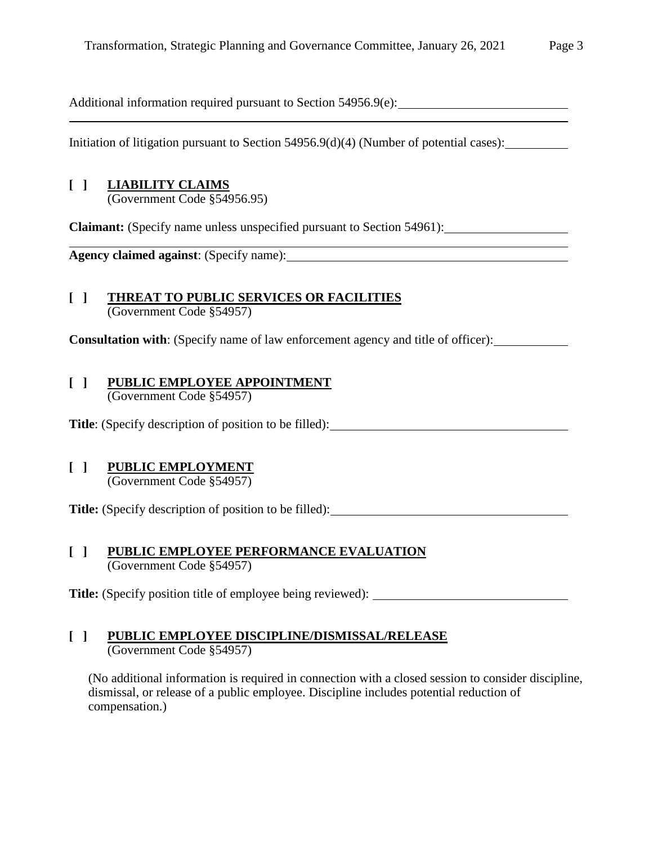Additional information required pursuant to Section 54956.9(e):

<u> 1980 - Johann Stoff, deutscher Stoff, der Stoff, der Stoff, der Stoff, der Stoff, der Stoff, der Stoff, der S</u>

Initiation of litigation pursuant to Section 54956.9(d)(4) (Number of potential cases):

# **[ ] LIABILITY CLAIMS**

(Government Code §54956.95)

**Claimant:** (Specify name unless unspecified pursuant to Section 54961):

**Agency claimed against**: (Specify name):

#### **[ ] THREAT TO PUBLIC SERVICES OR FACILITIES** (Government Code §54957)

**Consultation with:** (Specify name of law enforcement agency and title of officer):

#### **[ ] PUBLIC EMPLOYEE APPOINTMENT** (Government Code §54957)

**Title**: (Specify description of position to be filled):

# **[ ] PUBLIC EMPLOYMENT**

(Government Code §54957)

**Title:** (Specify description of position to be filled):

#### **[ ] PUBLIC EMPLOYEE PERFORMANCE EVALUATION** (Government Code §54957)

**Title:** (Specify position title of employee being reviewed):

# **[ ] PUBLIC EMPLOYEE DISCIPLINE/DISMISSAL/RELEASE**

(Government Code §54957)

(No additional information is required in connection with a closed session to consider discipline, dismissal, or release of a public employee. Discipline includes potential reduction of compensation.)